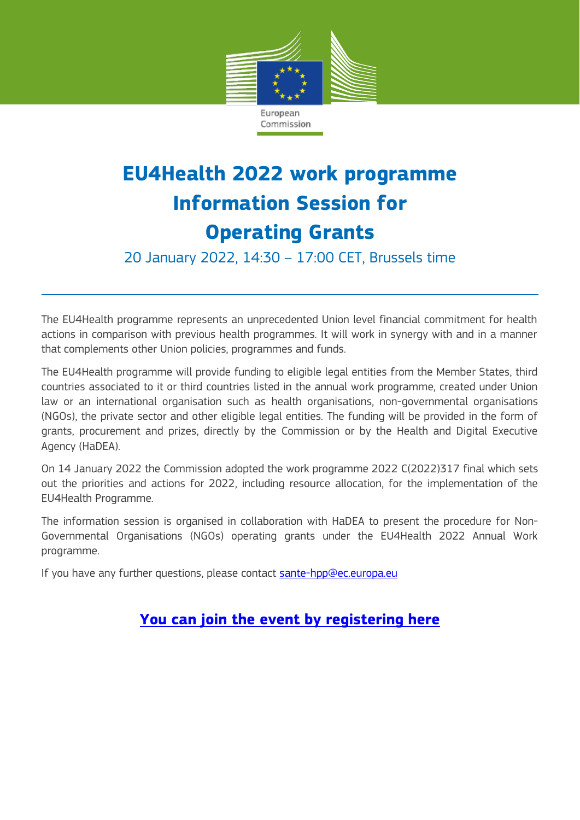

## **EU4Health 2022 work programme Information Session for Operating Grants**

20 January 2022, 14:30 – 17:00 CET, Brussels time

The EU4Health programme represents an unprecedented Union level financial commitment for health actions in comparison with previous health programmes. It will work in synergy with and in a manner that complements other Union policies, programmes and funds.

The EU4Health programme will provide funding to eligible legal entities from the Member States, third countries associated to it or third countries listed in the annual work programme, created under Union law or an international organisation such as health organisations, non-governmental organisations (NGOs), the private sector and other eligible legal entities. The funding will be provided in the form of grants, procurement and prizes, directly by the Commission or by the Health and Digital Executive Agency (HaDEA).

On 14 January 2022 the Commission adopted the work programme 2022 C(2022)317 final which sets out the priorities and actions for 2022, including resource allocation, for the implementation of the EU4Health Programme.

The information session is organised in collaboration with HaDEA to present the procedure for Non-Governmental Organisations (NGOs) operating grants under the EU4Health 2022 Annual Work programme.

If you have any further questions, please contact [sante-hpp@ec.europa.eu](file:///C:/Users/IRCT/AppData/Local/Microsoft/Windows/INetCache/Content.Outlook/7VF20326/sante-hpp@ec.europa.eu)

## **[You can join the event by registering here](https://ecconf.webex.com/ecconf/onstage/g.php?MTID=e8122716449c9cf60707db52ff825d257)**